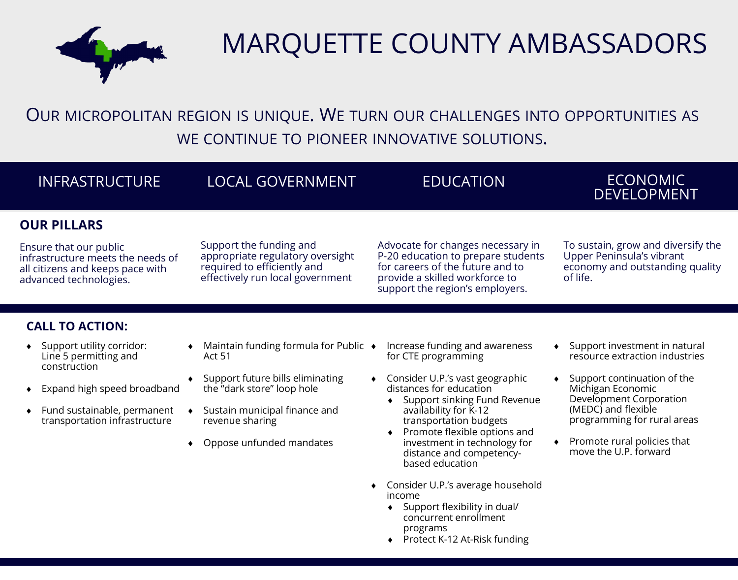

# MARQUETTE COUNTY AMBASSADORS

OUR MICROPOLITAN REGION IS UNIQUE. WE TURN OUR CHALLENGES INTO OPPORTUNITIES AS WE CONTINUE TO PIONEER INNOVATIVE SOLUTIONS.

| <b>INFRASTRUCTURE</b>                                                                                                                                                                                 | <b>LOCAL GOVERNMENT</b>                                                                                                                                                                           | <b>EDUCATION</b>                                                                                                                                                                                                                                                                                                                                                                                                              | <b>ECONOMIC</b><br><b>DEVELOPMENT</b>                                                                                                                                                                                                                                     |
|-------------------------------------------------------------------------------------------------------------------------------------------------------------------------------------------------------|---------------------------------------------------------------------------------------------------------------------------------------------------------------------------------------------------|-------------------------------------------------------------------------------------------------------------------------------------------------------------------------------------------------------------------------------------------------------------------------------------------------------------------------------------------------------------------------------------------------------------------------------|---------------------------------------------------------------------------------------------------------------------------------------------------------------------------------------------------------------------------------------------------------------------------|
| <b>OUR PILLARS</b><br>Ensure that our public<br>infrastructure meets the needs of<br>all citizens and keeps pace with<br>advanced technologies.                                                       | Support the funding and<br>appropriate regulatory oversight<br>required to efficiently and<br>effectively run local government                                                                    | Advocate for changes necessary in<br>P-20 education to prepare students<br>for careers of the future and to<br>provide a skilled workforce to<br>support the region's employers.                                                                                                                                                                                                                                              | To sustain, grow and diversify the<br>Upper Peninsula's vibrant<br>economy and outstanding quality<br>of life.                                                                                                                                                            |
| <b>CALL TO ACTION:</b><br>Support utility corridor:<br>٠<br>Line 5 permitting and<br>construction<br>Expand high speed broadband<br>Fund sustainable, permanent<br>٠<br>transportation infrastructure | Maintain funding formula for Public ◆<br>Act 51<br>Support future bills eliminating<br>the "dark store" loop hole<br>Sustain municipal finance and<br>revenue sharing<br>Oppose unfunded mandates | Increase funding and awareness<br>for CTE programming<br>Consider U.P.'s vast geographic<br>distances for education<br>Support sinking Fund Revenue<br>availability for K-12<br>transportation budgets<br>Promote flexible options and<br>investment in technology for<br>distance and competency-<br>based education<br>Consider U.P.'s average household<br>income<br>Support flexibility in dual/<br>concurrent enrollment | Support investment in natural<br>$\bullet$<br>resource extraction industries<br>Support continuation of the<br>Michigan Economic<br>Development Corporation<br>(MEDC) and flexible<br>programming for rural areas<br>Promote rural policies that<br>move the U.P. forward |